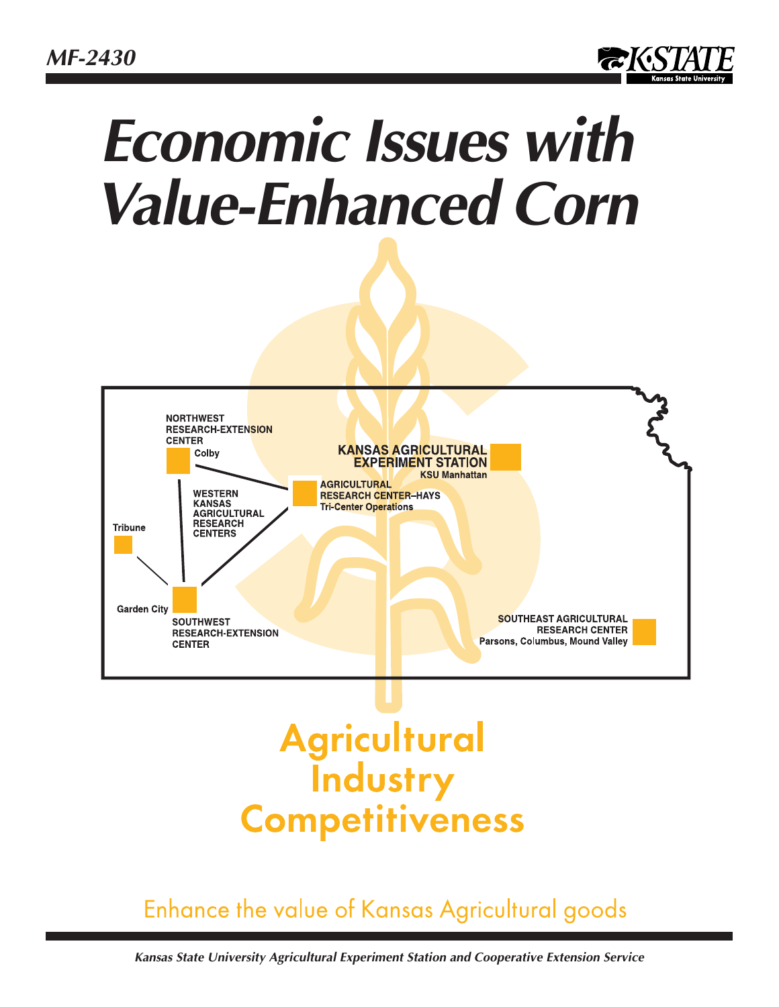*MF-2430*



# *Economic Issues with Value-Enhanced Corn*



# **Agricultural**<br>**Industry Competitiveness**

# Enhance the value of Kansas Agricultural goods

*Kansas State University Agricultural Experiment Station and Cooperative Extension Service*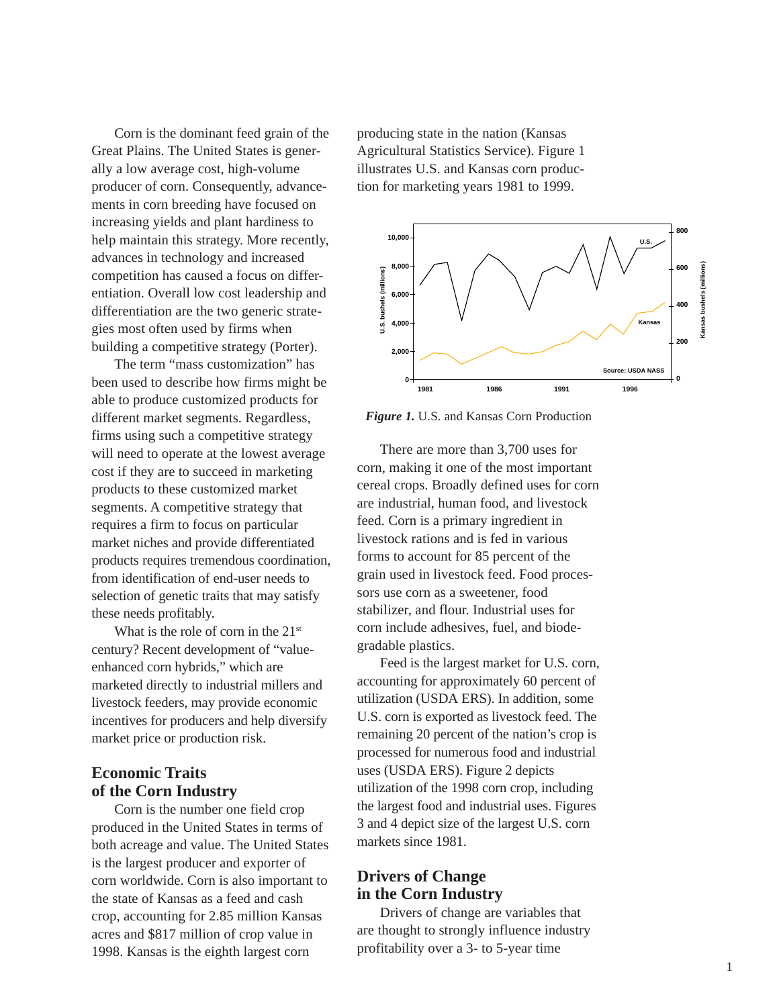Corn is the dominant feed grain of the Great Plains. The United States is generally a low average cost, high-volume producer of corn. Consequently, advancements in corn breeding have focused on increasing yields and plant hardiness to help maintain this strategy. More recently, advances in technology and increased competition has caused a focus on differentiation. Overall low cost leadership and differentiation are the two generic strategies most often used by firms when building a competitive strategy (Porter).

The term "mass customization" has been used to describe how firms might be able to produce customized products for different market segments. Regardless, firms using such a competitive strategy will need to operate at the lowest average cost if they are to succeed in marketing products to these customized market segments. A competitive strategy that requires a firm to focus on particular market niches and provide differentiated products requires tremendous coordination, from identification of end-user needs to selection of genetic traits that may satisfy these needs profitably.

What is the role of corn in the 21<sup>st</sup> century? Recent development of "valueenhanced corn hybrids," which are marketed directly to industrial millers and livestock feeders, may provide economic incentives for producers and help diversify market price or production risk.

# **Economic Traits of the Corn Industry**

Corn is the number one field crop produced in the United States in terms of both acreage and value. The United States is the largest producer and exporter of corn worldwide. Corn is also important to the state of Kansas as a feed and cash crop, accounting for 2.85 million Kansas acres and \$817 million of crop value in 1998. Kansas is the eighth largest corn

producing state in the nation (Kansas Agricultural Statistics Service). Figure 1 illustrates U.S. and Kansas corn production for marketing years 1981 to 1999.



*Figure 1.* U.S. and Kansas Corn Production

There are more than 3,700 uses for corn, making it one of the most important cereal crops. Broadly defined uses for corn are industrial, human food, and livestock feed. Corn is a primary ingredient in livestock rations and is fed in various forms to account for 85 percent of the grain used in livestock feed. Food processors use corn as a sweetener, food stabilizer, and flour. Industrial uses for corn include adhesives, fuel, and biodegradable plastics. From The Same of the Manus of the Manus (1998)<br>
Translation of the most important and the most important and the most imported. Com is a primary ingredient in livestock rations and is feed. Com is a primary ingredient in l

Feed is the largest market for U.S. corn, accounting for approximately 60 percent of utilization (USDA ERS). In addition, some U.S. corn is exported as livestock feed. The remaining 20 percent of the nation's crop is processed for numerous food and industrial uses (USDA ERS). Figure 2 depicts utilization of the 1998 corn crop, including the largest food and industrial uses. Figures 3 and 4 depict size of the largest U.S. corn markets since 1981.

# **Drivers of Change in the Corn Industry**

Drivers of change are variables that are thought to strongly influence industry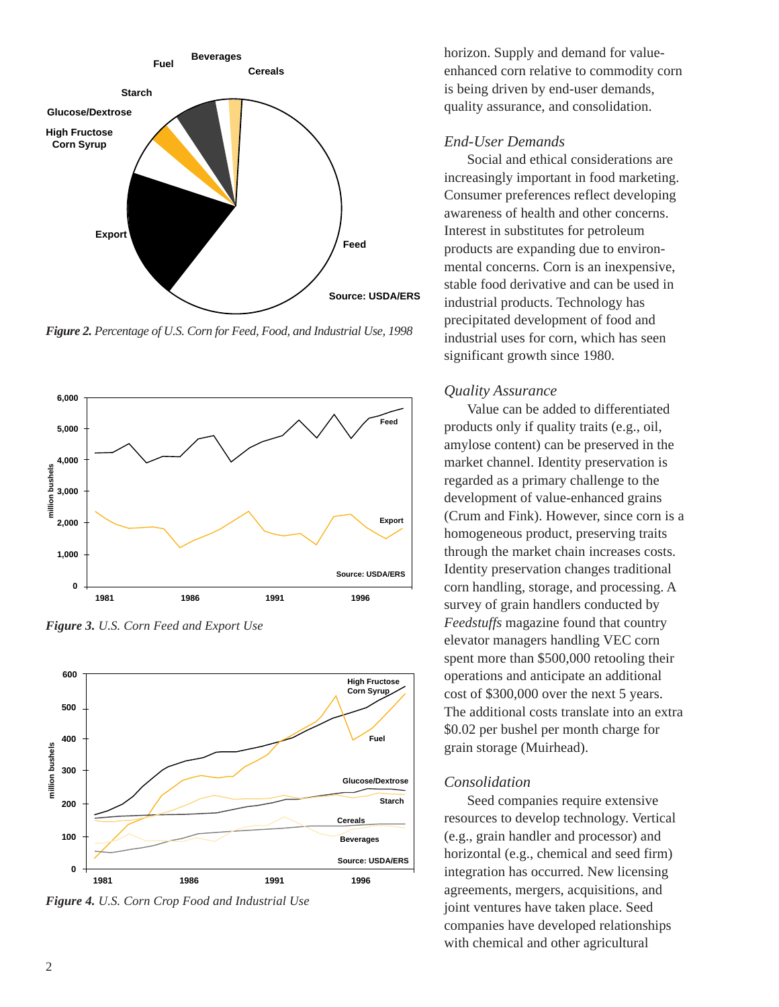

*Figure 2. Percentage of U.S. Corn for Feed, Food, and Industrial Use, 1998*



*Figure 3. U.S. Corn Feed and Export Use*



*Figure 4. U.S. Corn Crop Food and Industrial Use*

horizon. Supply and demand for valueenhanced corn relative to commodity corn is being driven by end-user demands, quality assurance, and consolidation.

# *End-User Demands*

Social and ethical considerations are increasingly important in food marketing. Consumer preferences reflect developing awareness of health and other concerns. Interest in substitutes for petroleum products are expanding due to environmental concerns. Corn is an inexpensive, stable food derivative and can be used in industrial products. Technology has precipitated development of food and industrial uses for corn, which has seen significant growth since 1980.

# *Quality Assurance*

Value can be added to differentiated products only if quality traits (e.g., oil, amylose content) can be preserved in the market channel. Identity preservation is regarded as a primary challenge to the development of value-enhanced grains (Crum and Fink). However, since corn is a homogeneous product, preserving traits through the market chain increases costs. Identity preservation changes traditional corn handling, storage, and processing. A survey of grain handlers conducted by *Feedstuffs* magazine found that country elevator managers handling VEC corn spent more than \$500,000 retooling their operations and anticipate an additional cost of \$300,000 over the next 5 years. The additional costs translate into an extra \$0.02 per bushel per month charge for grain storage (Muirhead).

#### *Consolidation*

Seed companies require extensive resources to develop technology. Vertical (e.g., grain handler and processor) and horizontal (e.g., chemical and seed firm) integration has occurred. New licensing agreements, mergers, acquisitions, and joint ventures have taken place. Seed companies have developed relationships with chemical and other agricultural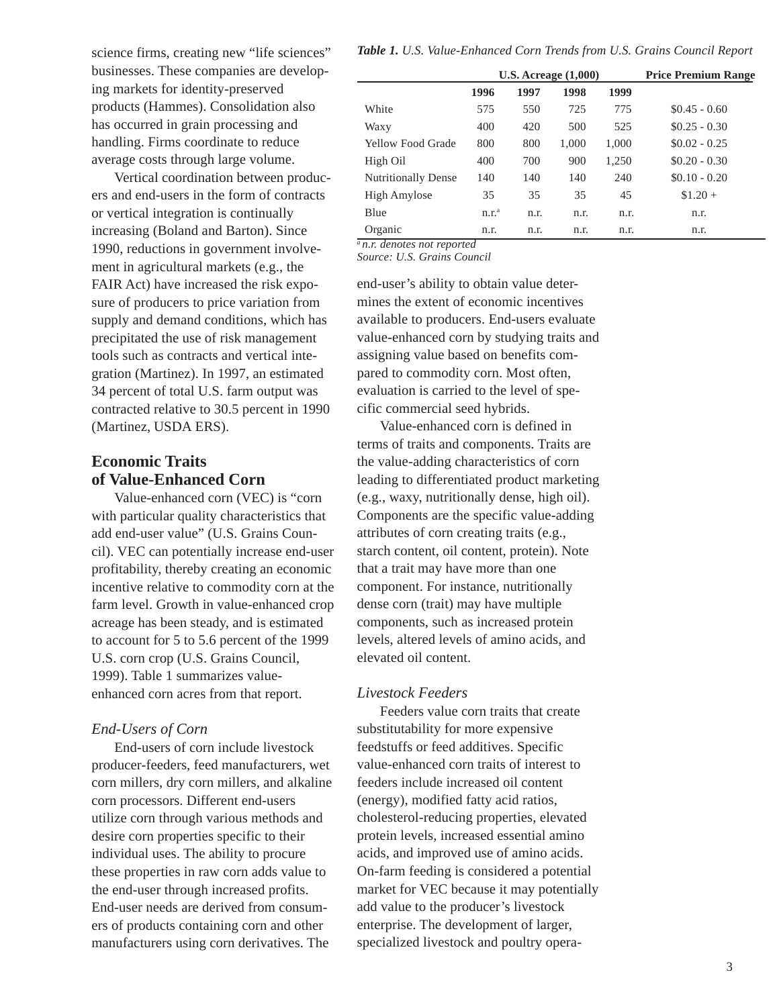science firms, creating new "life sciences" businesses. These companies are developing markets for identity-preserved products (Hammes). Consolidation also has occurred in grain processing and handling. Firms coordinate to reduce average costs through large volume.

Vertical coordination between producers and end-users in the form of contracts or vertical integration is continually increasing (Boland and Barton). Since 1990, reductions in government involvement in agricultural markets (e.g., the FAIR Act) have increased the risk exposure of producers to price variation from supply and demand conditions, which has precipitated the use of risk management tools such as contracts and vertical integration (Martinez). In 1997, an estimated 34 percent of total U.S. farm output was contracted relative to 30.5 percent in 1990 (Martinez, USDA ERS).

# **Economic Traits of Value-Enhanced Corn**

Value-enhanced corn (VEC) is "corn with particular quality characteristics that add end-user value" (U.S. Grains Council). VEC can potentially increase end-user profitability, thereby creating an economic incentive relative to commodity corn at the farm level. Growth in value-enhanced crop acreage has been steady, and is estimated to account for 5 to 5.6 percent of the 1999 U.S. corn crop (U.S. Grains Council, 1999). Table 1 summarizes valueenhanced corn acres from that report.

# *End-Users of Corn*

End-users of corn include livestock producer-feeders, feed manufacturers, wet corn millers, dry corn millers, and alkaline corn processors. Different end-users utilize corn through various methods and desire corn properties specific to their individual uses. The ability to procure these properties in raw corn adds value to the end-user through increased profits. End-user needs are derived from consumers of products containing corn and other manufacturers using corn derivatives. The

*Table 1. U.S. Value-Enhanced Corn Trends from U.S. Grains Council Report*

|                            |                   |      | $U.S.$ Acreage $(1,000)$ | <b>Price Premium Range</b> |                |
|----------------------------|-------------------|------|--------------------------|----------------------------|----------------|
|                            | 1996              | 1997 | 1998                     | 1999                       |                |
| White                      | 575               | 550  | 725                      | 775                        | $$0.45 - 0.60$ |
| Waxy                       | 400               | 420  | 500                      | 525                        | $$0.25 - 0.30$ |
| Yellow Food Grade          | 800               | 800  | 1,000                    | 1,000                      | $$0.02 - 0.25$ |
| High Oil                   | 400               | 700  | 900                      | 1,250                      | $$0.20 - 0.30$ |
| <b>Nutritionally Dense</b> | 140               | 140  | 140                      | 240                        | $$0.10 - 0.20$ |
| High Amylose               | 35                | 35   | 35                       | 45                         | $$1.20 +$      |
| Blue                       | n.r. <sup>a</sup> | n.r. | n.r.                     | n.r.                       | n.r.           |
| Organic                    | n.r.              | n.r. | n.r.                     | n.r.                       | n.r.           |

*a n.r. denotes not reported*

*Source: U.S. Grains Council*

end-user's ability to obtain value determines the extent of economic incentives available to producers. End-users evaluate value-enhanced corn by studying traits and assigning value based on benefits compared to commodity corn. Most often, evaluation is carried to the level of specific commercial seed hybrids.

Value-enhanced corn is defined in terms of traits and components. Traits are the value-adding characteristics of corn leading to differentiated product marketing (e.g., waxy, nutritionally dense, high oil). Components are the specific value-adding attributes of corn creating traits (e.g., starch content, oil content, protein). Note that a trait may have more than one component. For instance, nutritionally dense corn (trait) may have multiple components, such as increased protein levels, altered levels of amino acids, and elevated oil content.

#### *Livestock Feeders*

Feeders value corn traits that create substitutability for more expensive feedstuffs or feed additives. Specific value-enhanced corn traits of interest to feeders include increased oil content (energy), modified fatty acid ratios, cholesterol-reducing properties, elevated protein levels, increased essential amino acids, and improved use of amino acids. On-farm feeding is considered a potential market for VEC because it may potentially add value to the producer's livestock enterprise. The development of larger, specialized livestock and poultry opera-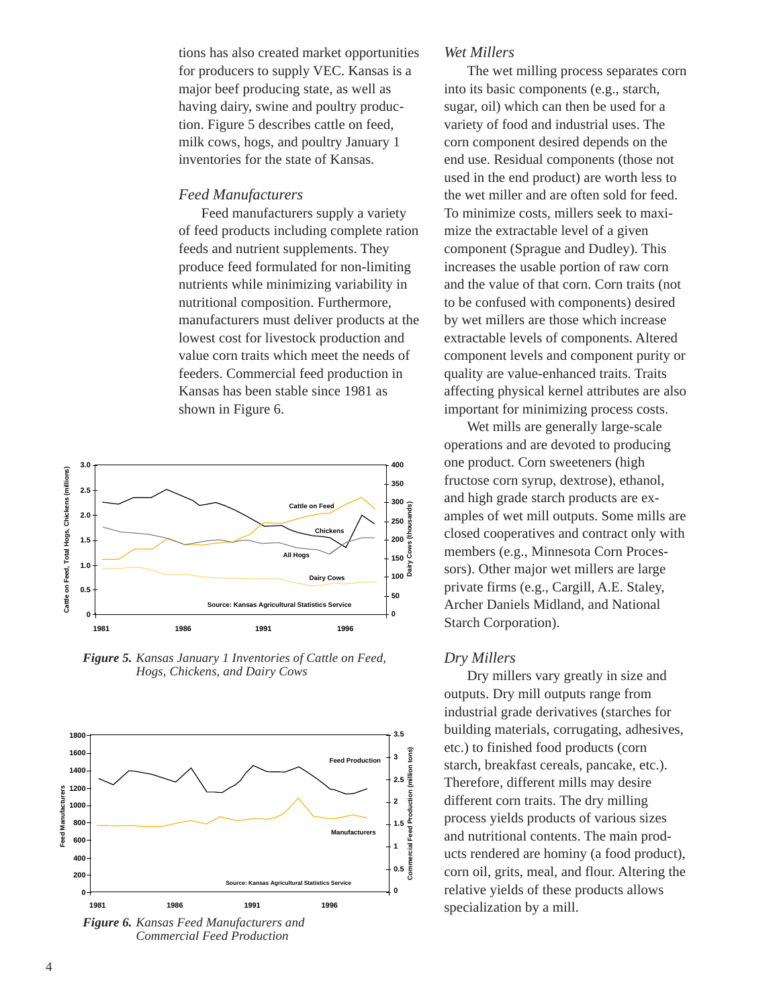tions has also created market opportunities for producers to supply VEC. Kansas is a major beef producing state, as well as having dairy, swine and poultry production. Figure 5 describes cattle on feed, milk cows, hogs, and poultry January 1 inventories for the state of Kansas.

#### *Feed Manufacturers*

Feed manufacturers supply a variety of feed products including complete ration feeds and nutrient supplements. They produce feed formulated for non-limiting nutrients while minimizing variability in nutritional composition. Furthermore, manufacturers must deliver products at the lowest cost for livestock production and value corn traits which meet the needs of feeders. Commercial feed production in Kansas has been stable since 1981 as shown in Figure 6.



*Figure 5. Kansas January 1 Inventories of Cattle on Feed, Hogs, Chickens, and Dairy Cows*



*Commercial Feed Production*

#### *Wet Millers*

The wet milling process separates corn into its basic components (e.g., starch, sugar, oil) which can then be used for a variety of food and industrial uses. The corn component desired depends on the end use. Residual components (those not used in the end product) are worth less to the wet miller and are often sold for feed. To minimize costs, millers seek to maximize the extractable level of a given component (Sprague and Dudley). This increases the usable portion of raw corn and the value of that corn. Corn traits (not to be confused with components) desired by wet millers are those which increase extractable levels of components. Altered component levels and component purity or quality are value-enhanced traits. Traits affecting physical kernel attributes are also important for minimizing process costs.

Wet mills are generally large-scale operations and are devoted to producing one product. Corn sweeteners (high fructose corn syrup, dextrose), ethanol, and high grade starch products are examples of wet mill outputs. Some mills are closed cooperatives and contract only with members (e.g., Minnesota Corn Processors). Other major wet millers are large private firms (e.g., Cargill, A.E. Staley, Archer Daniels Midland, and National Starch Corporation).

#### *Dry Millers*

Dry millers vary greatly in size and outputs. Dry mill outputs range from industrial grade derivatives (starches for building materials, corrugating, adhesives, etc.) to finished food products (corn starch, breakfast cereals, pancake, etc.). Therefore, different mills may desire different corn traits. The dry milling process yields products of various sizes and nutritional contents. The main products rendered are hominy (a food product), corn oil, grits, meal, and flour. Altering the relative yields of these products allows specialization by a mill.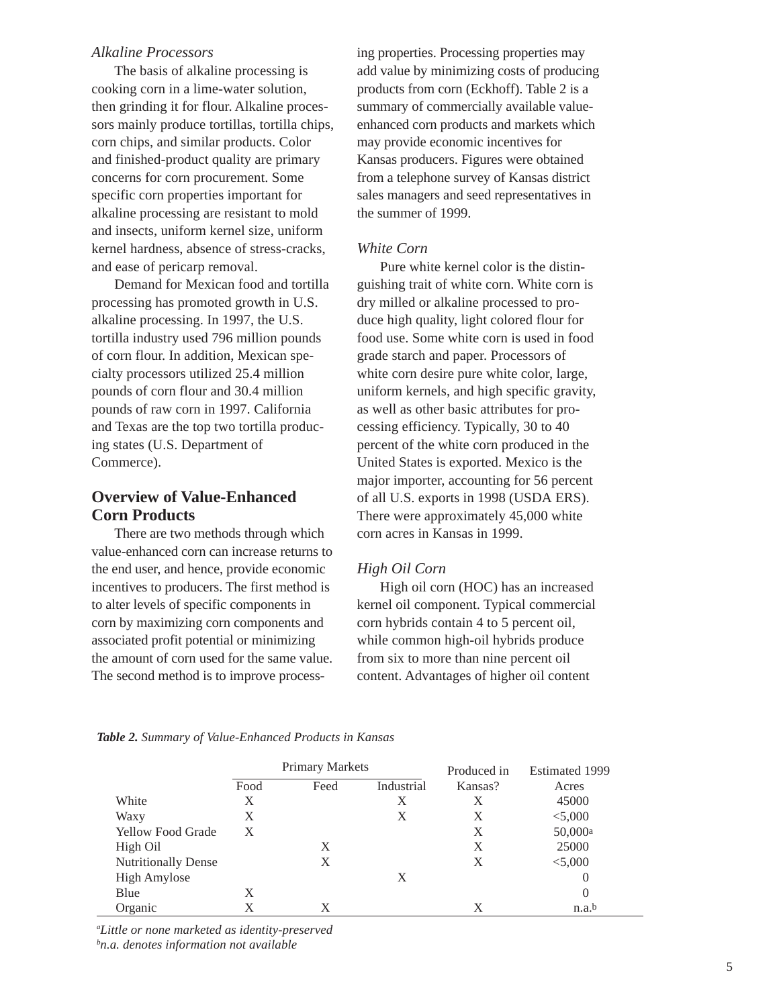#### *Alkaline Processors*

The basis of alkaline processing is cooking corn in a lime-water solution, then grinding it for flour. Alkaline processors mainly produce tortillas, tortilla chips, corn chips, and similar products. Color and finished-product quality are primary concerns for corn procurement. Some specific corn properties important for alkaline processing are resistant to mold and insects, uniform kernel size, uniform kernel hardness, absence of stress-cracks, and ease of pericarp removal.

Demand for Mexican food and tortilla processing has promoted growth in U.S. alkaline processing. In 1997, the U.S. tortilla industry used 796 million pounds of corn flour. In addition, Mexican specialty processors utilized 25.4 million pounds of corn flour and 30.4 million pounds of raw corn in 1997. California and Texas are the top two tortilla producing states (U.S. Department of Commerce).

# **Overview of Value-Enhanced Corn Products**

There are two methods through which value-enhanced corn can increase returns to the end user, and hence, provide economic incentives to producers. The first method is to alter levels of specific components in corn by maximizing corn components and associated profit potential or minimizing the amount of corn used for the same value. The second method is to improve processing properties. Processing properties may add value by minimizing costs of producing products from corn (Eckhoff). Table 2 is a summary of commercially available valueenhanced corn products and markets which may provide economic incentives for Kansas producers. Figures were obtained from a telephone survey of Kansas district sales managers and seed representatives in the summer of 1999.

#### *White Corn*

Pure white kernel color is the distinguishing trait of white corn. White corn is dry milled or alkaline processed to produce high quality, light colored flour for food use. Some white corn is used in food grade starch and paper. Processors of white corn desire pure white color, large, uniform kernels, and high specific gravity, as well as other basic attributes for processing efficiency. Typically, 30 to 40 percent of the white corn produced in the United States is exported. Mexico is the major importer, accounting for 56 percent of all U.S. exports in 1998 (USDA ERS). There were approximately 45,000 white corn acres in Kansas in 1999.

## *High Oil Corn*

High oil corn (HOC) has an increased kernel oil component. Typical commercial corn hybrids contain 4 to 5 percent oil, while common high-oil hybrids produce from six to more than nine percent oil content. Advantages of higher oil content

|                            |      | <b>Primary Markets</b> |            | Produced in | <b>Estimated 1999</b> |  |  |
|----------------------------|------|------------------------|------------|-------------|-----------------------|--|--|
|                            | Food | Feed                   | Industrial | Kansas?     | Acres                 |  |  |
| White                      | X    |                        | X          | X           | 45000                 |  |  |
| Waxy                       | X    |                        | X          | X           | < 5,000               |  |  |
| <b>Yellow Food Grade</b>   | X    |                        |            | X           | 50,000a               |  |  |
| High Oil                   |      | X                      |            | X           | 25000                 |  |  |
| <b>Nutritionally Dense</b> |      | X                      |            | X           | < 5,000               |  |  |
| <b>High Amylose</b>        |      |                        | X          |             | $\theta$              |  |  |
| Blue                       | X    |                        |            |             | $\theta$              |  |  |
| Organic                    |      | X                      |            | Х           | n.a.b                 |  |  |

*Table 2. Summary of Value-Enhanced Products in Kansas*

*a Little or none marketed as identity-preserved b n.a. denotes information not available*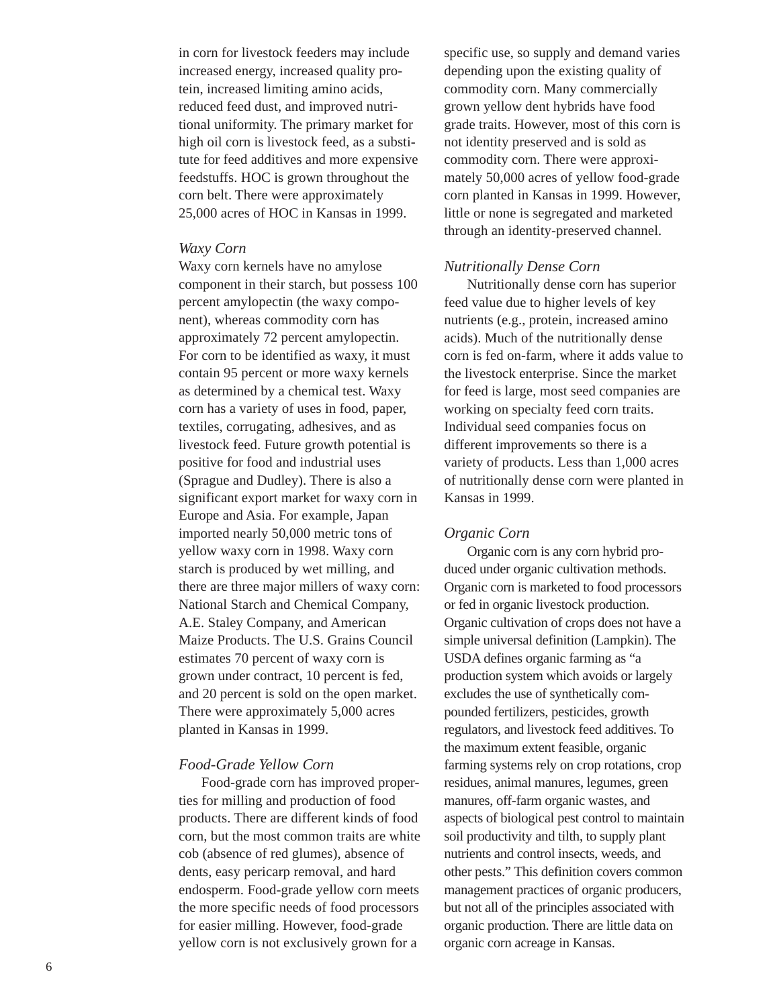in corn for livestock feeders may include increased energy, increased quality protein, increased limiting amino acids, reduced feed dust, and improved nutritional uniformity. The primary market for high oil corn is livestock feed, as a substitute for feed additives and more expensive feedstuffs. HOC is grown throughout the corn belt. There were approximately 25,000 acres of HOC in Kansas in 1999.

#### *Waxy Corn*

Waxy corn kernels have no amylose component in their starch, but possess 100 percent amylopectin (the waxy component), whereas commodity corn has approximately 72 percent amylopectin. For corn to be identified as waxy, it must contain 95 percent or more waxy kernels as determined by a chemical test. Waxy corn has a variety of uses in food, paper, textiles, corrugating, adhesives, and as livestock feed. Future growth potential is positive for food and industrial uses (Sprague and Dudley). There is also a significant export market for waxy corn in Europe and Asia. For example, Japan imported nearly 50,000 metric tons of yellow waxy corn in 1998. Waxy corn starch is produced by wet milling, and there are three major millers of waxy corn: National Starch and Chemical Company, A.E. Staley Company, and American Maize Products. The U.S. Grains Council estimates 70 percent of waxy corn is grown under contract, 10 percent is fed, and 20 percent is sold on the open market. There were approximately 5,000 acres planted in Kansas in 1999.

# *Food-Grade Yellow Corn*

Food-grade corn has improved properties for milling and production of food products. There are different kinds of food corn, but the most common traits are white cob (absence of red glumes), absence of dents, easy pericarp removal, and hard endosperm. Food-grade yellow corn meets the more specific needs of food processors for easier milling. However, food-grade yellow corn is not exclusively grown for a

specific use, so supply and demand varies depending upon the existing quality of commodity corn. Many commercially grown yellow dent hybrids have food grade traits. However, most of this corn is not identity preserved and is sold as commodity corn. There were approximately 50,000 acres of yellow food-grade corn planted in Kansas in 1999. However, little or none is segregated and marketed through an identity-preserved channel.

#### *Nutritionally Dense Corn*

Nutritionally dense corn has superior feed value due to higher levels of key nutrients (e.g., protein, increased amino acids). Much of the nutritionally dense corn is fed on-farm, where it adds value to the livestock enterprise. Since the market for feed is large, most seed companies are working on specialty feed corn traits. Individual seed companies focus on different improvements so there is a variety of products. Less than 1,000 acres of nutritionally dense corn were planted in Kansas in 1999.

#### *Organic Corn*

Organic corn is any corn hybrid produced under organic cultivation methods. Organic corn is marketed to food processors or fed in organic livestock production. Organic cultivation of crops does not have a simple universal definition (Lampkin). The USDA defines organic farming as "a production system which avoids or largely excludes the use of synthetically compounded fertilizers, pesticides, growth regulators, and livestock feed additives. To the maximum extent feasible, organic farming systems rely on crop rotations, crop residues, animal manures, legumes, green manures, off-farm organic wastes, and aspects of biological pest control to maintain soil productivity and tilth, to supply plant nutrients and control insects, weeds, and other pests." This definition covers common management practices of organic producers, but not all of the principles associated with organic production. There are little data on organic corn acreage in Kansas.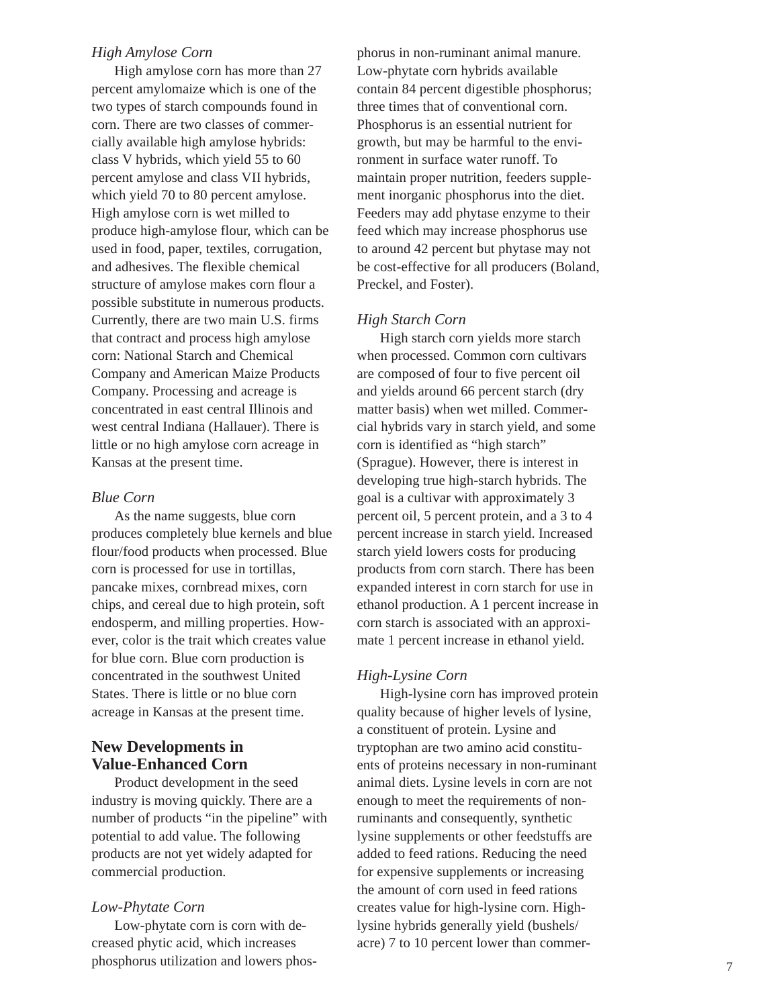#### *High Amylose Corn*

High amylose corn has more than 27 percent amylomaize which is one of the two types of starch compounds found in corn. There are two classes of commercially available high amylose hybrids: class V hybrids, which yield 55 to 60 percent amylose and class VII hybrids, which yield 70 to 80 percent amylose. High amylose corn is wet milled to produce high-amylose flour, which can be used in food, paper, textiles, corrugation, and adhesives. The flexible chemical structure of amylose makes corn flour a possible substitute in numerous products. Currently, there are two main U.S. firms that contract and process high amylose corn: National Starch and Chemical Company and American Maize Products Company. Processing and acreage is concentrated in east central Illinois and west central Indiana (Hallauer). There is little or no high amylose corn acreage in Kansas at the present time.

#### *Blue Corn*

As the name suggests, blue corn produces completely blue kernels and blue flour/food products when processed. Blue corn is processed for use in tortillas, pancake mixes, cornbread mixes, corn chips, and cereal due to high protein, soft endosperm, and milling properties. However, color is the trait which creates value for blue corn. Blue corn production is concentrated in the southwest United States. There is little or no blue corn acreage in Kansas at the present time.

# **New Developments in Value-Enhanced Corn**

Product development in the seed industry is moving quickly. There are a number of products "in the pipeline" with potential to add value. The following products are not yet widely adapted for commercial production.

#### *Low-Phytate Corn*

Low-phytate corn is corn with decreased phytic acid, which increases phosphorus utilization and lowers phosphorus in non-ruminant animal manure. Low-phytate corn hybrids available contain 84 percent digestible phosphorus; three times that of conventional corn. Phosphorus is an essential nutrient for growth, but may be harmful to the environment in surface water runoff. To maintain proper nutrition, feeders supplement inorganic phosphorus into the diet. Feeders may add phytase enzyme to their feed which may increase phosphorus use to around 42 percent but phytase may not be cost-effective for all producers (Boland, Preckel, and Foster).

#### *High Starch Corn*

High starch corn yields more starch when processed. Common corn cultivars are composed of four to five percent oil and yields around 66 percent starch (dry matter basis) when wet milled. Commercial hybrids vary in starch yield, and some corn is identified as "high starch" (Sprague). However, there is interest in developing true high-starch hybrids. The goal is a cultivar with approximately 3 percent oil, 5 percent protein, and a 3 to 4 percent increase in starch yield. Increased starch yield lowers costs for producing products from corn starch. There has been expanded interest in corn starch for use in ethanol production. A 1 percent increase in corn starch is associated with an approximate 1 percent increase in ethanol yield.

#### *High-Lysine Corn*

High-lysine corn has improved protein quality because of higher levels of lysine, a constituent of protein. Lysine and tryptophan are two amino acid constituents of proteins necessary in non-ruminant animal diets. Lysine levels in corn are not enough to meet the requirements of nonruminants and consequently, synthetic lysine supplements or other feedstuffs are added to feed rations. Reducing the need for expensive supplements or increasing the amount of corn used in feed rations creates value for high-lysine corn. Highlysine hybrids generally yield (bushels/ acre) 7 to 10 percent lower than commer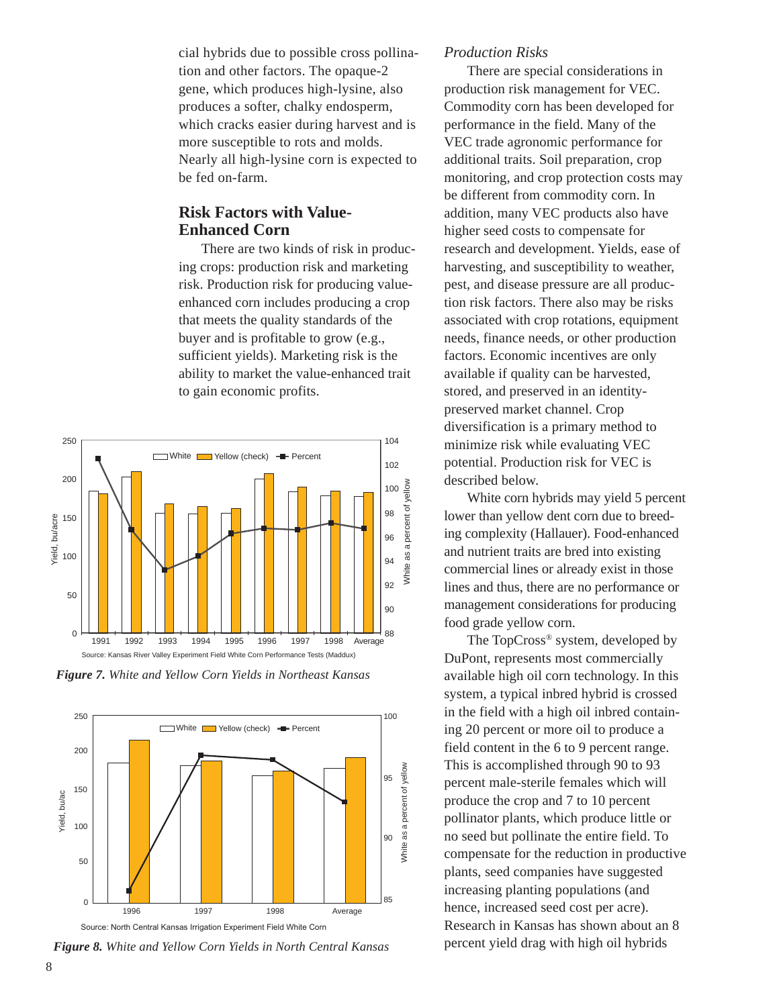cial hybrids due to possible cross pollination and other factors. The opaque-2 gene, which produces high-lysine, also produces a softer, chalky endosperm, which cracks easier during harvest and is more susceptible to rots and molds. Nearly all high-lysine corn is expected to be fed on-farm.

# **Risk Factors with Value-Enhanced Corn**

There are two kinds of risk in producing crops: production risk and marketing risk. Production risk for producing valueenhanced corn includes producing a crop that meets the quality standards of the buyer and is profitable to grow (e.g., sufficient yields). Marketing risk is the ability to market the value-enhanced trait to gain economic profits.



*Figure 7. White and Yellow Corn Yields in Northeast Kansas*



*Figure 8. White and Yellow Corn Yields in North Central Kansas*

#### *Production Risks*

There are special considerations in production risk management for VEC. Commodity corn has been developed for performance in the field. Many of the VEC trade agronomic performance for additional traits. Soil preparation, crop monitoring, and crop protection costs may be different from commodity corn. In addition, many VEC products also have higher seed costs to compensate for research and development. Yields, ease of harvesting, and susceptibility to weather, pest, and disease pressure are all production risk factors. There also may be risks associated with crop rotations, equipment needs, finance needs, or other production factors. Economic incentives are only available if quality can be harvested, stored, and preserved in an identitypreserved market channel. Crop diversification is a primary method to minimize risk while evaluating VEC potential. Production risk for VEC is described below.

White corn hybrids may yield 5 percent lower than yellow dent corn due to breeding complexity (Hallauer). Food-enhanced and nutrient traits are bred into existing commercial lines or already exist in those lines and thus, there are no performance or management considerations for producing food grade yellow corn.

The TopCross® system, developed by DuPont, represents most commercially available high oil corn technology. In this system, a typical inbred hybrid is crossed in the field with a high oil inbred containing 20 percent or more oil to produce a field content in the 6 to 9 percent range. This is accomplished through 90 to 93 percent male-sterile females which will produce the crop and 7 to 10 percent pollinator plants, which produce little or no seed but pollinate the entire field. To compensate for the reduction in productive plants, seed companies have suggested increasing planting populations (and hence, increased seed cost per acre). Research in Kansas has shown about an 8 percent yield drag with high oil hybrids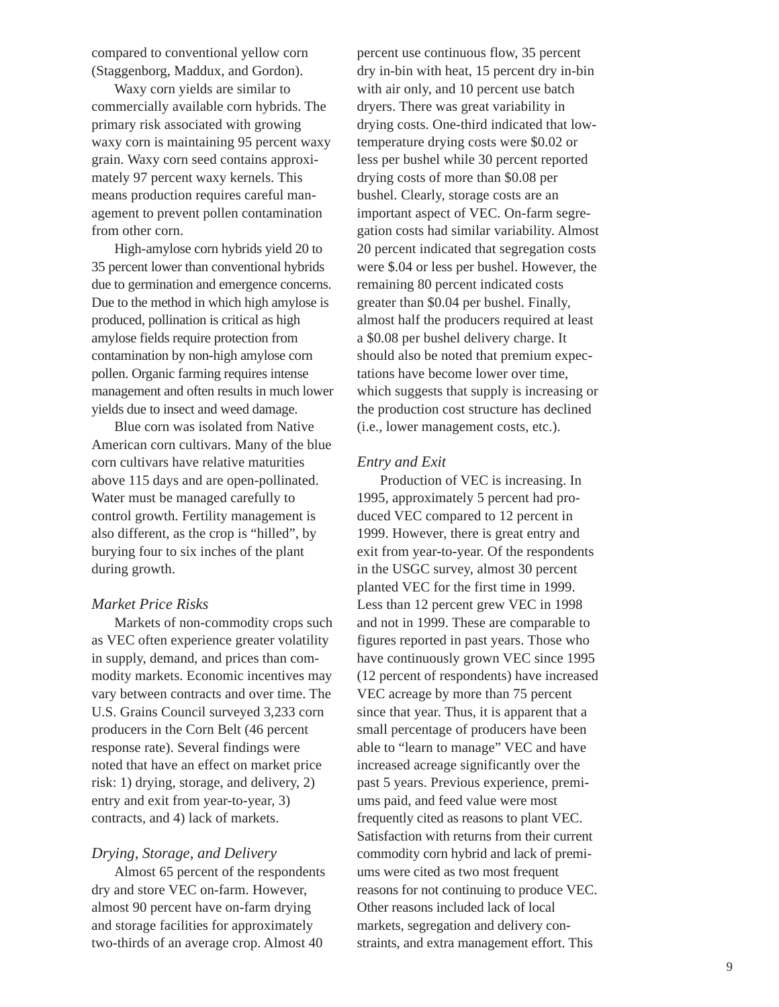compared to conventional yellow corn (Staggenborg, Maddux, and Gordon).

Waxy corn yields are similar to commercially available corn hybrids. The primary risk associated with growing waxy corn is maintaining 95 percent waxy grain. Waxy corn seed contains approximately 97 percent waxy kernels. This means production requires careful management to prevent pollen contamination from other corn.

High-amylose corn hybrids yield 20 to 35 percent lower than conventional hybrids due to germination and emergence concerns. Due to the method in which high amylose is produced, pollination is critical as high amylose fields require protection from contamination by non-high amylose corn pollen. Organic farming requires intense management and often results in much lower yields due to insect and weed damage.

Blue corn was isolated from Native American corn cultivars. Many of the blue corn cultivars have relative maturities above 115 days and are open-pollinated. Water must be managed carefully to control growth. Fertility management is also different, as the crop is "hilled", by burying four to six inches of the plant during growth.

#### *Market Price Risks*

Markets of non-commodity crops such as VEC often experience greater volatility in supply, demand, and prices than commodity markets. Economic incentives may vary between contracts and over time. The U.S. Grains Council surveyed 3,233 corn producers in the Corn Belt (46 percent response rate). Several findings were noted that have an effect on market price risk: 1) drying, storage, and delivery, 2) entry and exit from year-to-year, 3) contracts, and 4) lack of markets.

#### *Drying, Storage, and Delivery*

Almost 65 percent of the respondents dry and store VEC on-farm. However, almost 90 percent have on-farm drying and storage facilities for approximately two-thirds of an average crop. Almost 40

percent use continuous flow, 35 percent dry in-bin with heat, 15 percent dry in-bin with air only, and 10 percent use batch dryers. There was great variability in drying costs. One-third indicated that lowtemperature drying costs were \$0.02 or less per bushel while 30 percent reported drying costs of more than \$0.08 per bushel. Clearly, storage costs are an important aspect of VEC. On-farm segregation costs had similar variability. Almost 20 percent indicated that segregation costs were \$.04 or less per bushel. However, the remaining 80 percent indicated costs greater than \$0.04 per bushel. Finally, almost half the producers required at least a \$0.08 per bushel delivery charge. It should also be noted that premium expectations have become lower over time, which suggests that supply is increasing or the production cost structure has declined (i.e., lower management costs, etc.).

#### *Entry and Exit*

Production of VEC is increasing. In 1995, approximately 5 percent had produced VEC compared to 12 percent in 1999. However, there is great entry and exit from year-to-year. Of the respondents in the USGC survey, almost 30 percent planted VEC for the first time in 1999. Less than 12 percent grew VEC in 1998 and not in 1999. These are comparable to figures reported in past years. Those who have continuously grown VEC since 1995 (12 percent of respondents) have increased VEC acreage by more than 75 percent since that year. Thus, it is apparent that a small percentage of producers have been able to "learn to manage" VEC and have increased acreage significantly over the past 5 years. Previous experience, premiums paid, and feed value were most frequently cited as reasons to plant VEC. Satisfaction with returns from their current commodity corn hybrid and lack of premiums were cited as two most frequent reasons for not continuing to produce VEC. Other reasons included lack of local markets, segregation and delivery constraints, and extra management effort. This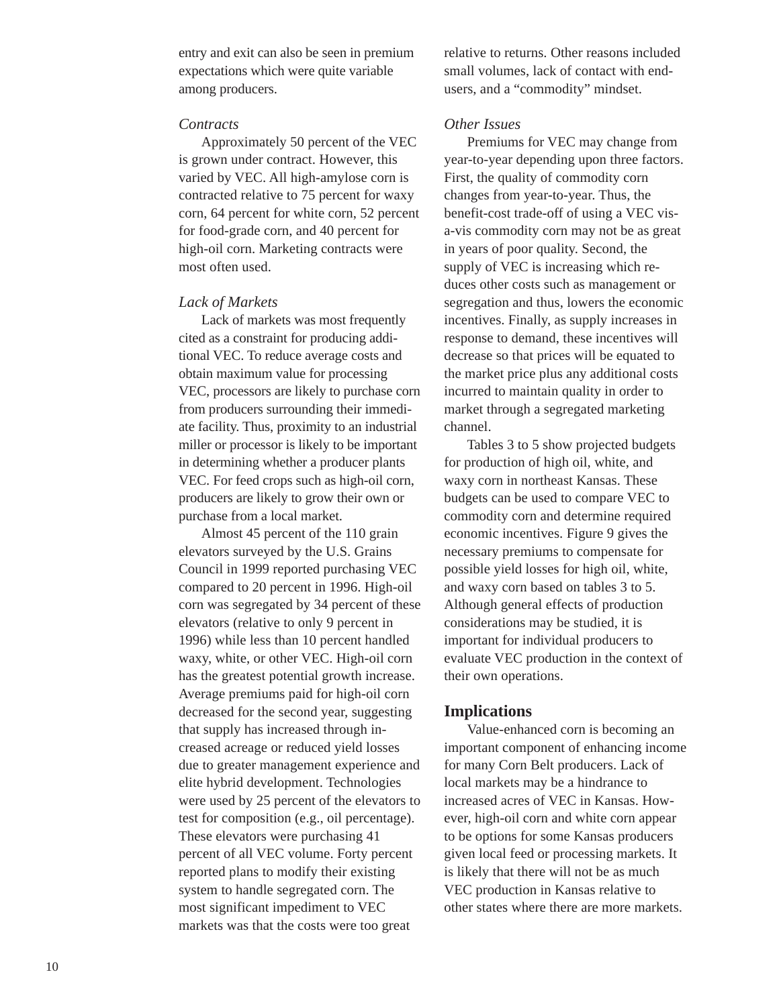entry and exit can also be seen in premium expectations which were quite variable among producers.

#### *Contracts*

Approximately 50 percent of the VEC is grown under contract. However, this varied by VEC. All high-amylose corn is contracted relative to 75 percent for waxy corn, 64 percent for white corn, 52 percent for food-grade corn, and 40 percent for high-oil corn. Marketing contracts were most often used.

#### *Lack of Markets*

Lack of markets was most frequently cited as a constraint for producing additional VEC. To reduce average costs and obtain maximum value for processing VEC, processors are likely to purchase corn from producers surrounding their immediate facility. Thus, proximity to an industrial miller or processor is likely to be important in determining whether a producer plants VEC. For feed crops such as high-oil corn, producers are likely to grow their own or purchase from a local market.

Almost 45 percent of the 110 grain elevators surveyed by the U.S. Grains Council in 1999 reported purchasing VEC compared to 20 percent in 1996. High-oil corn was segregated by 34 percent of these elevators (relative to only 9 percent in 1996) while less than 10 percent handled waxy, white, or other VEC. High-oil corn has the greatest potential growth increase. Average premiums paid for high-oil corn decreased for the second year, suggesting that supply has increased through increased acreage or reduced yield losses due to greater management experience and elite hybrid development. Technologies were used by 25 percent of the elevators to test for composition (e.g., oil percentage). These elevators were purchasing 41 percent of all VEC volume. Forty percent reported plans to modify their existing system to handle segregated corn. The most significant impediment to VEC markets was that the costs were too great

relative to returns. Other reasons included small volumes, lack of contact with endusers, and a "commodity" mindset.

#### *Other Issues*

Premiums for VEC may change from year-to-year depending upon three factors. First, the quality of commodity corn changes from year-to-year. Thus, the benefit-cost trade-off of using a VEC visa-vis commodity corn may not be as great in years of poor quality. Second, the supply of VEC is increasing which reduces other costs such as management or segregation and thus, lowers the economic incentives. Finally, as supply increases in response to demand, these incentives will decrease so that prices will be equated to the market price plus any additional costs incurred to maintain quality in order to market through a segregated marketing channel.

Tables 3 to 5 show projected budgets for production of high oil, white, and waxy corn in northeast Kansas. These budgets can be used to compare VEC to commodity corn and determine required economic incentives. Figure 9 gives the necessary premiums to compensate for possible yield losses for high oil, white, and waxy corn based on tables 3 to 5. Although general effects of production considerations may be studied, it is important for individual producers to evaluate VEC production in the context of their own operations.

#### **Implications**

Value-enhanced corn is becoming an important component of enhancing income for many Corn Belt producers. Lack of local markets may be a hindrance to increased acres of VEC in Kansas. However, high-oil corn and white corn appear to be options for some Kansas producers given local feed or processing markets. It is likely that there will not be as much VEC production in Kansas relative to other states where there are more markets.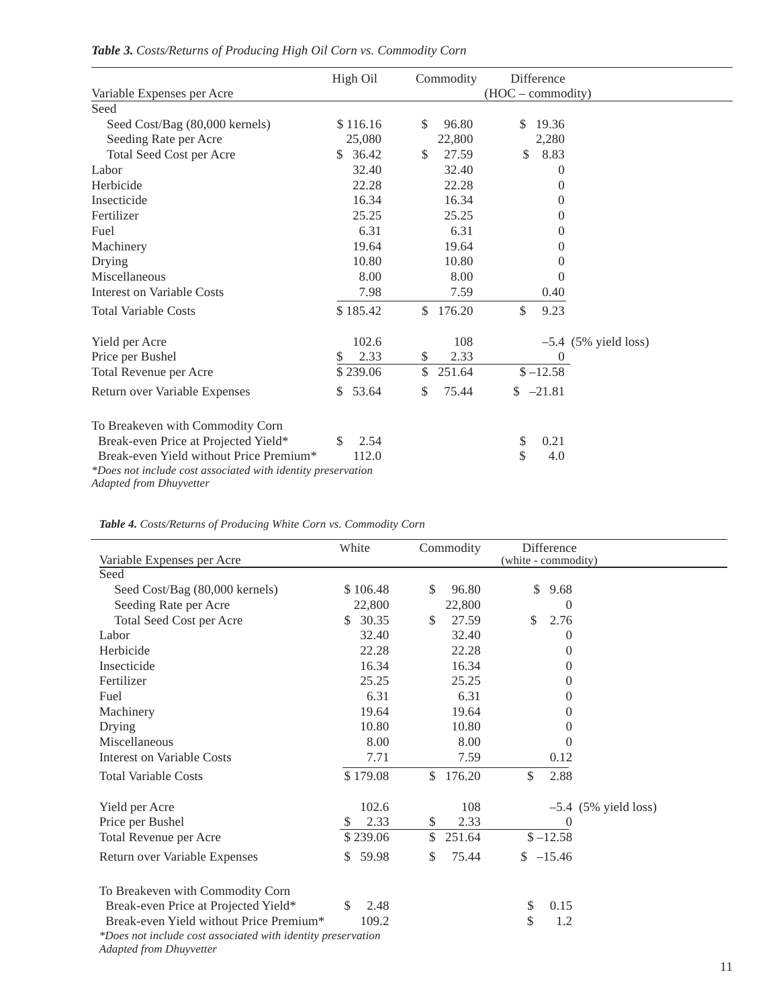|                                                              | High Oil    | Commodity    | Difference             |  |
|--------------------------------------------------------------|-------------|--------------|------------------------|--|
| Variable Expenses per Acre                                   |             |              | (HOC - commodity)      |  |
| Seed                                                         |             |              |                        |  |
| Seed Cost/Bag (80,000 kernels)                               | \$116.16    | \$<br>96.80  | 19.36<br>$\mathbb{S}$  |  |
| Seeding Rate per Acre                                        | 25,080      | 22,800       | 2,280                  |  |
| Total Seed Cost per Acre                                     | \$36.42     | \$<br>27.59  | \$<br>8.83             |  |
| Labor                                                        | 32.40       | 32.40        | $\theta$               |  |
| Herbicide                                                    | 22.28       | 22.28        | $\Omega$               |  |
| Insecticide                                                  | 16.34       | 16.34        | $\overline{0}$         |  |
| Fertilizer                                                   | 25.25       | 25.25        | $\theta$               |  |
| Fuel                                                         | 6.31        | 6.31         | $\Omega$               |  |
| Machinery                                                    | 19.64       | 19.64        | 0                      |  |
| Drying                                                       | 10.80       | 10.80        | $\Omega$               |  |
| Miscellaneous                                                | 8.00        | 8.00         | 0                      |  |
| Interest on Variable Costs                                   | 7.98        | 7.59         | 0.40                   |  |
| <b>Total Variable Costs</b>                                  | \$185.42    | \$<br>176.20 | \$<br>9.23             |  |
| Yield per Acre                                               | 102.6       | 108          | $-5.4$ (5% yield loss) |  |
| Price per Bushel                                             | 2.33<br>S   | \$<br>2.33   | $\overline{0}$         |  |
| Total Revenue per Acre                                       | \$239.06    | \$<br>251.64 | $$ -12.58$             |  |
| Return over Variable Expenses                                | 53.64<br>\$ | \$<br>75.44  | $$ -21.81$             |  |
| To Breakeven with Commodity Corn                             |             |              |                        |  |
| Break-even Price at Projected Yield*                         | \$<br>2.54  |              | 0.21<br>\$             |  |
| Break-even Yield without Price Premium <sup>*</sup>          | 112.0       |              | \$<br>4.0              |  |
| *Does not include cost associated with identity preservation |             |              |                        |  |
| <b>Adapted from Dhuyvetter</b>                               |             |              |                        |  |

# *Table 3. Costs/Returns of Producing High Oil Corn vs. Commodity Corn*

*Table 4. Costs/Returns of Producing White Corn vs. Commodity Corn*

L,

|                                                                                                | White       | Commodity    | Difference             |
|------------------------------------------------------------------------------------------------|-------------|--------------|------------------------|
| Variable Expenses per Acre                                                                     |             |              | (white - commodity)    |
| Seed                                                                                           |             |              |                        |
| Seed Cost/Bag (80,000 kernels)                                                                 | \$106.48    | \$<br>96.80  | \$<br>9.68             |
| Seeding Rate per Acre                                                                          | 22,800      | 22,800       | $\Omega$               |
| <b>Total Seed Cost per Acre</b>                                                                | 30.35<br>\$ | 27.59<br>\$  | \$<br>2.76             |
| Labor                                                                                          | 32.40       | 32.40        | 0                      |
| Herbicide                                                                                      | 22.28       | 22.28        | $\Omega$               |
| Insecticide                                                                                    | 16.34       | 16.34        | 0                      |
| Fertilizer                                                                                     | 25.25       | 25.25        | $\theta$               |
| Fuel                                                                                           | 6.31        | 6.31         | $\theta$               |
| Machinery                                                                                      | 19.64       | 19.64        | $\theta$               |
| Drying                                                                                         | 10.80       | 10.80        | $\theta$               |
| Miscellaneous                                                                                  | 8.00        | 8.00         | 0                      |
| Interest on Variable Costs                                                                     | 7.71        | 7.59         | 0.12                   |
| <b>Total Variable Costs</b>                                                                    | \$179.08    | \$<br>176.20 | \$<br>2.88             |
| Yield per Acre                                                                                 | 102.6       | 108          | $-5.4$ (5% yield loss) |
| Price per Bushel                                                                               | 2.33<br>S.  | 2.33<br>\$   | $\Omega$               |
| Total Revenue per Acre                                                                         | \$239.06    | \$<br>251.64 | $$ -12.58$             |
| Return over Variable Expenses                                                                  | 59.98<br>S  | \$<br>75.44  | $$ -15.46$             |
| To Breakeven with Commodity Corn                                                               |             |              |                        |
| Break-even Price at Projected Yield*                                                           | 2.48<br>\$. |              | \$<br>0.15             |
| Break-even Yield without Price Premium*                                                        | 109.2       |              | \$<br>1.2              |
| *Does not include cost associated with identity preservation<br><b>Adapted from Dhuyvetter</b> |             |              |                        |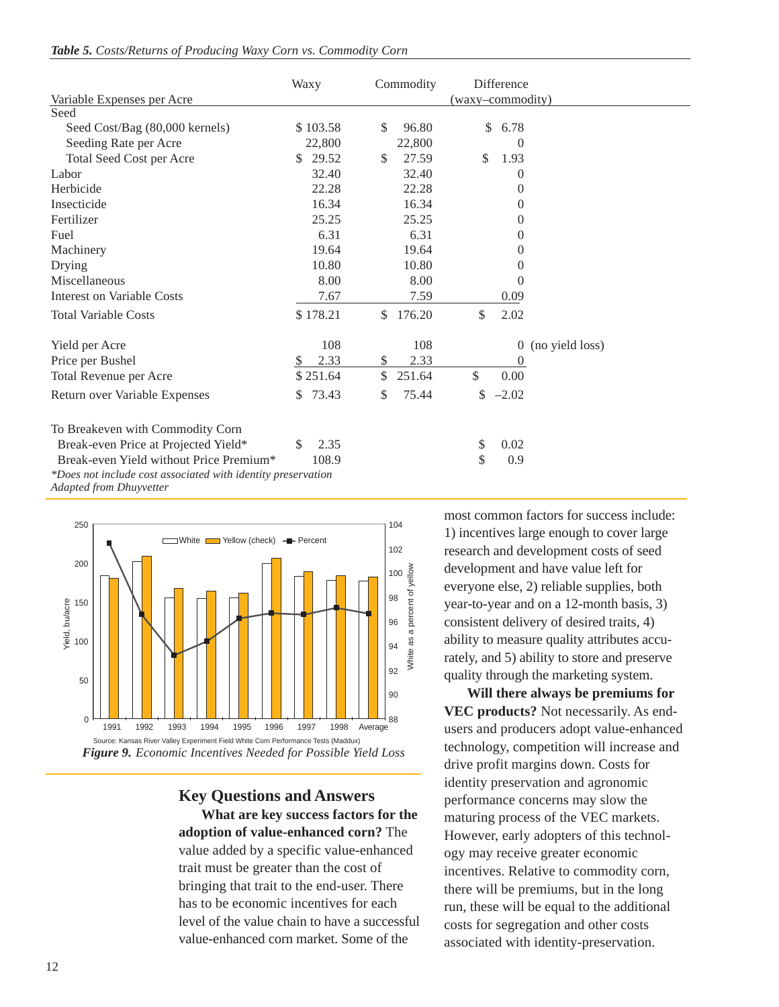|  |  |  |  | Table 5. Costs/Returns of Producing Waxy Corn vs. Commodity Corn |  |  |  |  |  |  |
|--|--|--|--|------------------------------------------------------------------|--|--|--|--|--|--|
|--|--|--|--|------------------------------------------------------------------|--|--|--|--|--|--|

|                                                              | Waxy        | Commodity                | Difference            |                 |
|--------------------------------------------------------------|-------------|--------------------------|-----------------------|-----------------|
| Variable Expenses per Acre                                   |             |                          | (waxy-commodity)      |                 |
| Seed                                                         |             |                          |                       |                 |
| Seed Cost/Bag (80,000 kernels)                               | \$103.58    | 96.80<br>S.              | \$<br>6.78            |                 |
| Seeding Rate per Acre                                        | 22,800      | 22,800                   | 0                     |                 |
| Total Seed Cost per Acre                                     | 29.52<br>S. | 27.59<br>$\mathbb{S}$    | $\mathcal{S}$<br>1.93 |                 |
| Labor                                                        | 32.40       | 32.40                    | 0                     |                 |
| Herbicide                                                    | 22.28       | 22.28                    | 0                     |                 |
| Insecticide                                                  | 16.34       | 16.34                    | 0                     |                 |
| Fertilizer                                                   | 25.25       | 25.25                    | $\theta$              |                 |
| Fuel                                                         | 6.31        | 6.31                     | 0                     |                 |
| Machinery                                                    | 19.64       | 19.64                    | 0                     |                 |
| Drying                                                       | 10.80       | 10.80                    | 0                     |                 |
| Miscellaneous                                                | 8.00        | 8.00                     | 0                     |                 |
| <b>Interest on Variable Costs</b>                            | 7.67        | 7.59                     | 0.09                  |                 |
| <b>Total Variable Costs</b>                                  | \$178.21    | 176.20<br>$\mathbb{S}^-$ | \$<br>2.02            |                 |
| Yield per Acre                                               | 108         | 108                      | $\theta$              | (no yield loss) |
| Price per Bushel                                             | 2.33<br>S   | 2.33<br>\$               | $\theta$              |                 |
| Total Revenue per Acre                                       | \$251.64    | \$<br>251.64             | \$<br>0.00            |                 |
| Return over Variable Expenses                                | 73.43<br>S. | 75.44<br>\$              | \$<br>$-2.02$         |                 |
| To Breakeven with Commodity Corn                             |             |                          |                       |                 |
| Break-even Price at Projected Yield*                         | 2.35<br>\$  |                          | \$<br>0.02            |                 |
| Break-even Yield without Price Premium <sup>*</sup>          | 108.9       |                          | \$<br>0.9             |                 |
| *Does not include cost associated with identity preservation |             |                          |                       |                 |

*Adapted from Dhuyvetter*



**Key Questions and Answers What are key success factors for the adoption of value-enhanced corn?** The value added by a specific value-enhanced trait must be greater than the cost of bringing that trait to the end-user. There has to be economic incentives for each level of the value chain to have a successful value-enhanced corn market. Some of the

most common factors for success include: 1) incentives large enough to cover large research and development costs of seed development and have value left for everyone else, 2) reliable supplies, both year-to-year and on a 12-month basis, 3) consistent delivery of desired traits, 4) ability to measure quality attributes accurately, and 5) ability to store and preserve quality through the marketing system.

**Will there always be premiums for VEC products?** Not necessarily. As endusers and producers adopt value-enhanced technology, competition will increase and drive profit margins down. Costs for identity preservation and agronomic performance concerns may slow the maturing process of the VEC markets. However, early adopters of this technology may receive greater economic incentives. Relative to commodity corn, there will be premiums, but in the long run, these will be equal to the additional costs for segregation and other costs associated with identity-preservation.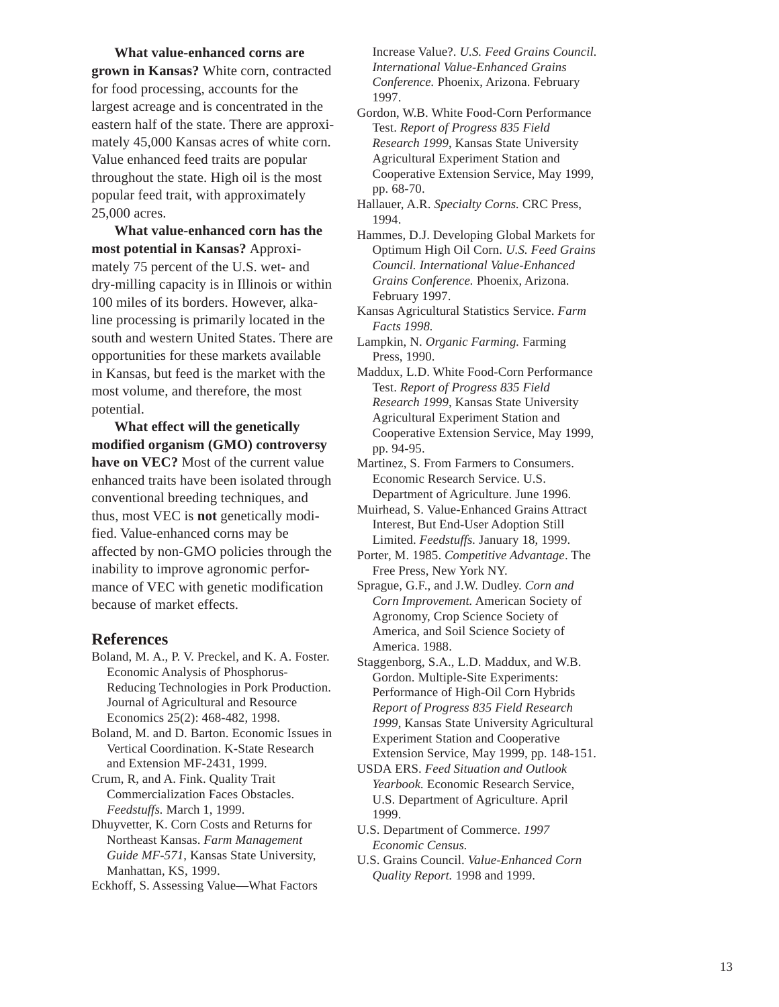**What value-enhanced corns are grown in Kansas?** White corn, contracted for food processing, accounts for the largest acreage and is concentrated in the eastern half of the state. There are approximately 45,000 Kansas acres of white corn. Value enhanced feed traits are popular throughout the state. High oil is the most popular feed trait, with approximately 25,000 acres.

**What value-enhanced corn has the most potential in Kansas?** Approximately 75 percent of the U.S. wet- and dry-milling capacity is in Illinois or within 100 miles of its borders. However, alkaline processing is primarily located in the south and western United States. There are opportunities for these markets available in Kansas, but feed is the market with the most volume, and therefore, the most potential.

**What effect will the genetically modified organism (GMO) controversy have on VEC?** Most of the current value enhanced traits have been isolated through conventional breeding techniques, and thus, most VEC is **not** genetically modified. Value-enhanced corns may be affected by non-GMO policies through the inability to improve agronomic performance of VEC with genetic modification because of market effects.

#### **References**

Boland, M. A., P. V. Preckel, and K. A. Foster. Economic Analysis of Phosphorus-Reducing Technologies in Pork Production. Journal of Agricultural and Resource Economics 25(2): 468-482, 1998.

Boland, M. and D. Barton. Economic Issues in Vertical Coordination. K-State Research and Extension MF-2431, 1999.

Crum, R, and A. Fink. Quality Trait Commercialization Faces Obstacles. *Feedstuffs.* March 1, 1999.

Dhuyvetter, K. Corn Costs and Returns for Northeast Kansas. *Farm Management Guide MF-571*, Kansas State University, Manhattan, KS, 1999.

Eckhoff, S. Assessing Value—What Factors

Increase Value?. *U.S. Feed Grains Council. International Value-Enhanced Grains Conference.* Phoenix, Arizona. February 1997.

- Gordon, W.B. White Food-Corn Performance Test. *Report of Progress 835 Field Research 1999*, Kansas State University Agricultural Experiment Station and Cooperative Extension Service, May 1999, pp. 68-70.
- Hallauer, A.R. *Specialty Corns.* CRC Press, 1994.
- Hammes, D.J. Developing Global Markets for Optimum High Oil Corn. *U.S. Feed Grains Council. International Value-Enhanced Grains Conference.* Phoenix, Arizona. February 1997.
- Kansas Agricultural Statistics Service. *Farm Facts 1998.*

Lampkin, N. *Organic Farming.* Farming Press, 1990.

- Maddux, L.D. White Food-Corn Performance Test. *Report of Progress 835 Field Research 1999*, Kansas State University Agricultural Experiment Station and Cooperative Extension Service, May 1999, pp. 94-95.
- Martinez, S. From Farmers to Consumers. Economic Research Service. U.S. Department of Agriculture. June 1996.
- Muirhead, S. Value-Enhanced Grains Attract Interest, But End-User Adoption Still Limited. *Feedstuffs.* January 18, 1999.
- Porter, M. 1985. *Competitive Advantage*. The Free Press, New York NY.
- Sprague, G.F., and J.W. Dudley. *Corn and Corn Improvement.* American Society of Agronomy, Crop Science Society of America, and Soil Science Society of America. 1988.
- Staggenborg, S.A., L.D. Maddux, and W.B. Gordon. Multiple-Site Experiments: Performance of High-Oil Corn Hybrids *Report of Progress 835 Field Research 1999*, Kansas State University Agricultural Experiment Station and Cooperative Extension Service, May 1999, pp. 148-151.
- USDA ERS. *Feed Situation and Outlook Yearbook.* Economic Research Service, U.S. Department of Agriculture. April 1999.
- U.S. Department of Commerce. *1997 Economic Census.*
- U.S. Grains Council. *Value-Enhanced Corn Quality Report.* 1998 and 1999.